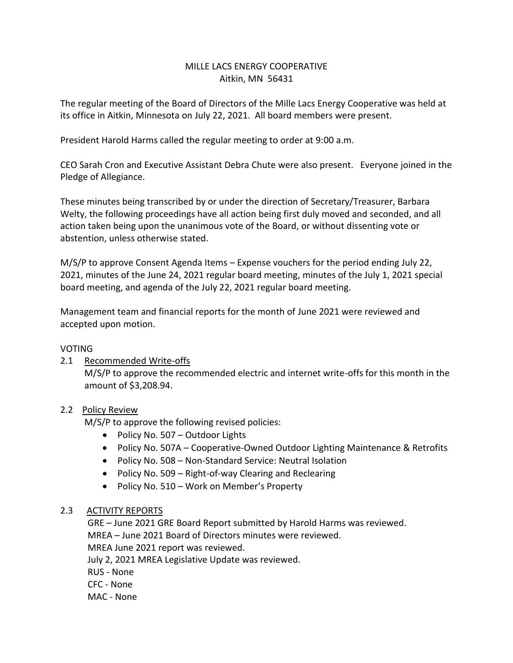# MILLE LACS ENERGY COOPERATIVE Aitkin, MN 56431

The regular meeting of the Board of Directors of the Mille Lacs Energy Cooperative was held at its office in Aitkin, Minnesota on July 22, 2021. All board members were present.

President Harold Harms called the regular meeting to order at 9:00 a.m.

CEO Sarah Cron and Executive Assistant Debra Chute were also present. Everyone joined in the Pledge of Allegiance.

These minutes being transcribed by or under the direction of Secretary/Treasurer, Barbara Welty, the following proceedings have all action being first duly moved and seconded, and all action taken being upon the unanimous vote of the Board, or without dissenting vote or abstention, unless otherwise stated.

M/S/P to approve Consent Agenda Items – Expense vouchers for the period ending July 22, 2021, minutes of the June 24, 2021 regular board meeting, minutes of the July 1, 2021 special board meeting, and agenda of the July 22, 2021 regular board meeting.

Management team and financial reports for the month of June 2021 were reviewed and accepted upon motion.

### VOTING

## 2.1 Recommended Write-offs

M/S/P to approve the recommended electric and internet write-offs for this month in the amount of \$3,208.94.

## 2.2 Policy Review

M/S/P to approve the following revised policies:

- Policy No. 507 Outdoor Lights
- Policy No. 507A Cooperative-Owned Outdoor Lighting Maintenance & Retrofits
- Policy No. 508 Non-Standard Service: Neutral Isolation
- Policy No. 509 Right-of-way Clearing and Reclearing
- Policy No. 510 Work on Member's Property

## 2.3 ACTIVITY REPORTS

 GRE – June 2021 GRE Board Report submitted by Harold Harms was reviewed. MREA – June 2021 Board of Directors minutes were reviewed. MREA June 2021 report was reviewed.

July 2, 2021 MREA Legislative Update was reviewed.

RUS - None

CFC - None

MAC - None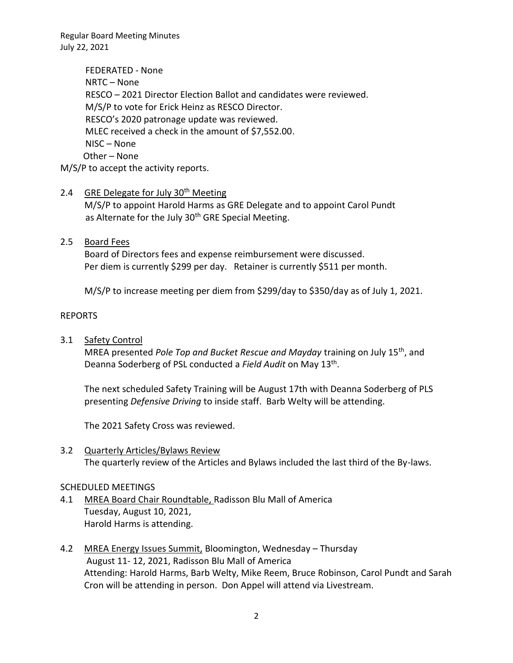Regular Board Meeting Minutes July 22, 2021

 FEDERATED - None NRTC – None RESCO – 2021 Director Election Ballot and candidates were reviewed. M/S/P to vote for Erick Heinz as RESCO Director. RESCO's 2020 patronage update was reviewed. MLEC received a check in the amount of \$7,552.00. NISC – None Other – None M/S/P to accept the activity reports.

### 2.4 GRE Delegate for July 30<sup>th</sup> Meeting

M/S/P to appoint Harold Harms as GRE Delegate and to appoint Carol Pundt as Alternate for the July 30<sup>th</sup> GRE Special Meeting.

### 2.5 Board Fees

Board of Directors fees and expense reimbursement were discussed. Per diem is currently \$299 per day. Retainer is currently \$511 per month.

M/S/P to increase meeting per diem from \$299/day to \$350/day as of July 1, 2021.

### REPORTS

3.1 Safety Control

MREA presented *Pole Top and Bucket Rescue and Mayday* training on July 15th, and Deanna Soderberg of PSL conducted a *Field Audit* on May 13th .

The next scheduled Safety Training will be August 17th with Deanna Soderberg of PLS presenting *Defensive Driving* to inside staff. Barb Welty will be attending.

The 2021 Safety Cross was reviewed.

3.2 Quarterly Articles/Bylaws Review The quarterly review of the Articles and Bylaws included the last third of the By-laws.

### SCHEDULED MEETINGS

- 4.1 MREA Board Chair Roundtable, Radisson Blu Mall of America Tuesday, August 10, 2021, Harold Harms is attending.
- 4.2 MREA Energy Issues Summit, Bloomington, Wednesday Thursday August 11- 12, 2021, Radisson Blu Mall of America Attending: Harold Harms, Barb Welty, Mike Reem, Bruce Robinson, Carol Pundt and Sarah Cron will be attending in person. Don Appel will attend via Livestream.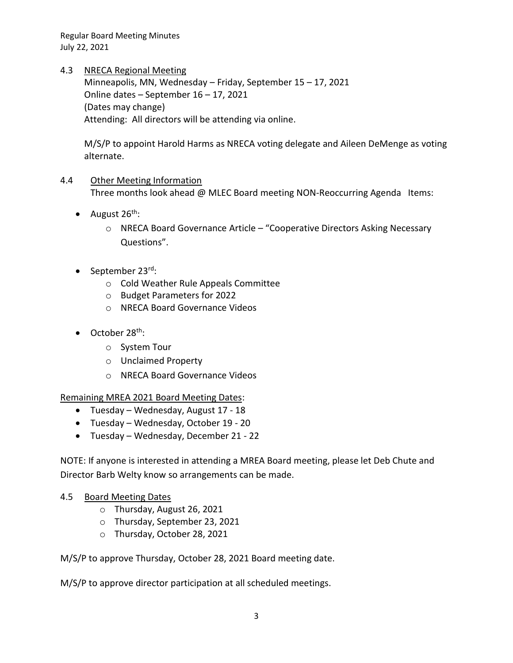Regular Board Meeting Minutes July 22, 2021

4.3 NRECA Regional Meeting

Minneapolis, MN, Wednesday – Friday, September 15 – 17, 2021 Online dates – September 16 – 17, 2021 (Dates may change) Attending: All directors will be attending via online.

M/S/P to appoint Harold Harms as NRECA voting delegate and Aileen DeMenge as voting alternate.

### 4.4 Other Meeting Information Three months look ahead @ MLEC Board meeting NON-Reoccurring Agenda Items:

- August  $26^{th}$ :
	- o NRECA Board Governance Article "Cooperative Directors Asking Necessary Questions".
- September 23rd:
	- o Cold Weather Rule Appeals Committee
	- o Budget Parameters for 2022
	- o NRECA Board Governance Videos
- $\bullet$  October 28<sup>th</sup>:
	- o System Tour
	- o Unclaimed Property
	- o NRECA Board Governance Videos

Remaining MREA 2021 Board Meeting Dates:

- Tuesday Wednesday, August 17 18
- Tuesday Wednesday, October 19 20
- Tuesday Wednesday, December 21 22

NOTE: If anyone is interested in attending a MREA Board meeting, please let Deb Chute and Director Barb Welty know so arrangements can be made.

## 4.5 Board Meeting Dates

- o Thursday, August 26, 2021
- o Thursday, September 23, 2021
- o Thursday, October 28, 2021

M/S/P to approve Thursday, October 28, 2021 Board meeting date.

M/S/P to approve director participation at all scheduled meetings.